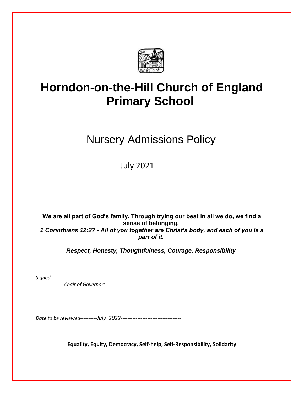

## **Horndon-on-the-Hill Church of England Primary School**

Nursery Admissions Policy

July 2021

**We are all part of God's family. Through trying our best in all we do, we find a sense of belonging***. 1 Corinthians 12:27 - All of you together are Christ's body, and each of you is a part of it.*

*Respect, Honesty, Thoughtfulness, Courage, Responsibility*

*Signed-------------------------------------------------------------------------------*

 *Chair of Governors*

*Date to be reviewed----------July 2022------------------------------------*

**Equality, Equity, Democracy, Self-help, Self-Responsibility, Solidarity**